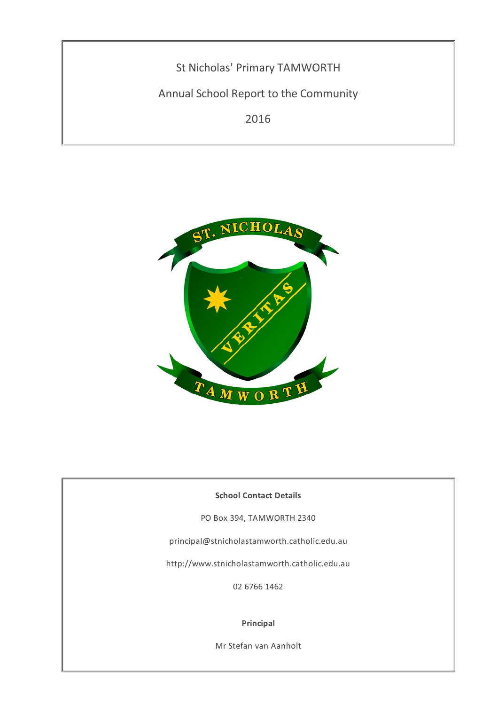St Nicholas' Primary TAMWORTH

Annual School Report to the Community

2016



# **School Contact Details**

PO Box 394, TAMWORTH 2340

principal@stnicholastamworth.catholic.edu.au

http://www.stnicholastamworth.catholic.edu.au

02 6766 1462

## **Principal**

Mr Stefan van Aanholt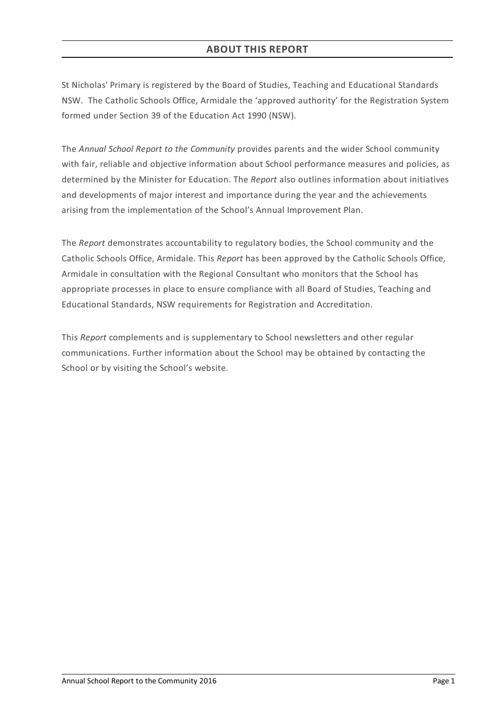St Nicholas' Primary is registered by the Board of Studies, Teaching and Educational Standards NSW. The Catholic Schools Office, Armidale the 'approved authority' for the Registration System formed under Section 39 of the Education Act 1990 (NSW).

The *Annual School Report to the Community* provides parents and the wider School community with fair, reliable and objective information about School performance measures and policies, as determined by the Minister for Education. The *Report* also outlines information about initiatives and developments of major interest and importance during the year and the achievements arising from the implementation of the School's Annual Improvement Plan.

The *Report* demonstrates accountability to regulatory bodies, the School community and the Catholic Schools Office, Armidale. This *Report* has been approved by the Catholic Schools Office, Armidale in consultation with the Regional Consultant who monitors that the School has appropriate processes in place to ensure compliance with all Board of Studies, Teaching and Educational Standards, NSW requirements for Registration and Accreditation.

This *Report* complements and is supplementary to School newsletters and other regular communications. Further information about the School may be obtained by contacting the School or by visiting the School's website.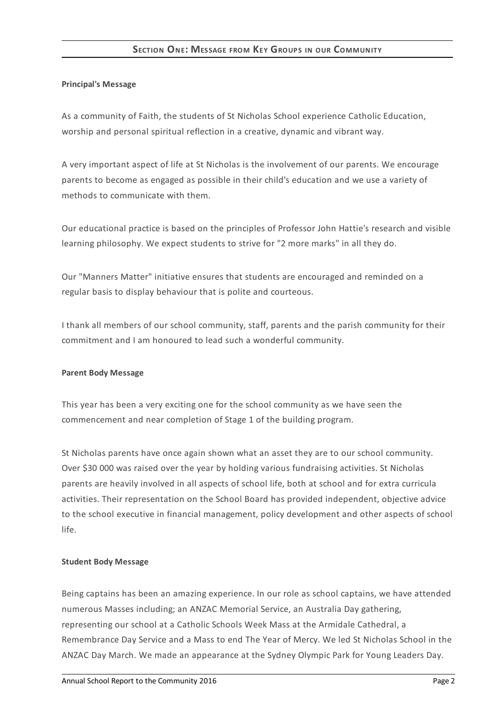# **SECTION ONE: MESSAGE FROM KEY GROUPS IN OUR COMMUNITY**

## **Principal's Message**

As a community of Faith, the students of St Nicholas School experience Catholic Education, worship and personal spiritual reflection in a creative, dynamic and vibrant way.

A very important aspect of life at St Nicholas is the involvement of our parents. We encourage parents to become as engaged as possible in their child's education and we use a variety of methods to communicate with them.

Our educational practice is based on the principles of Professor John Hattie's research and visible learning philosophy. We expect students to strive for "2 more marks" in all they do.

Our "Manners Matter" initiative ensures that students are encouraged and reminded on a regular basis to display behaviour that is polite and courteous.

I thank all members of our school community, staff, parents and the parish community for their commitment and I am honoured to lead such a wonderful community.

#### **Parent Body Message**

This year has been a very exciting one for the school community as we have seen the commencement and near completion of Stage 1 of the building program.

St Nicholas parents have once again shown what an asset they are to our school community. Over \$30 000 was raised over the year by holding various fundraising activities. St Nicholas parents are heavily involved in all aspects of school life, both at school and for extra curricula activities. Their representation on the School Board has provided independent, objective advice to the school executive in financial management, policy development and other aspects of school life.

#### **Student Body Message**

Being captains has been an amazing experience. In our role as school captains, we have attended numerous Masses including; an ANZAC Memorial Service, an Australia Day gathering, representing our school at a Catholic Schools Week Mass at the Armidale Cathedral, a Remembrance Day Service and a Mass to end The Year of Mercy. We led St Nicholas School in the ANZAC Day March. We made an appearance at the Sydney Olympic Park for Young Leaders Day.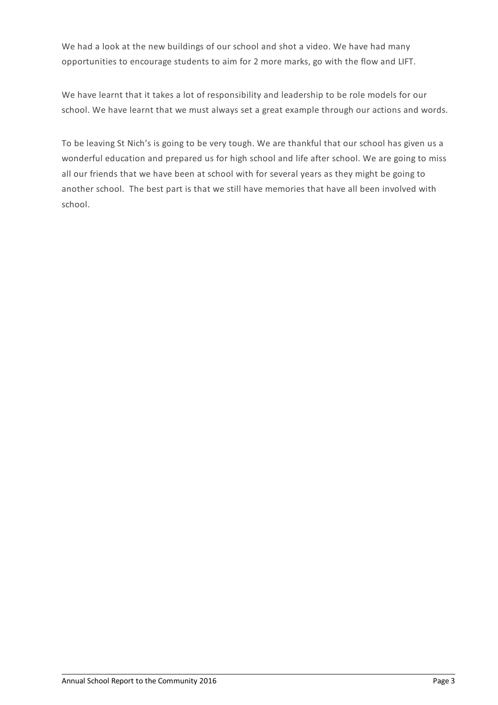We had a look at the new buildings of our school and shot a video. We have had many opportunities to encourage students to aim for 2 more marks, go with the flow and LIFT.

We have learnt that it takes a lot of responsibility and leadership to be role models for our school. We have learnt that we must always set a great example through our actions and words.

To be leaving St Nich's is going to be very tough. We are thankful that our school has given us a wonderful education and prepared us for high school and life after school. We are going to miss all our friends that we have been at school with for several years as they might be going to another school. The best part is that we still have memories that have all been involved with school.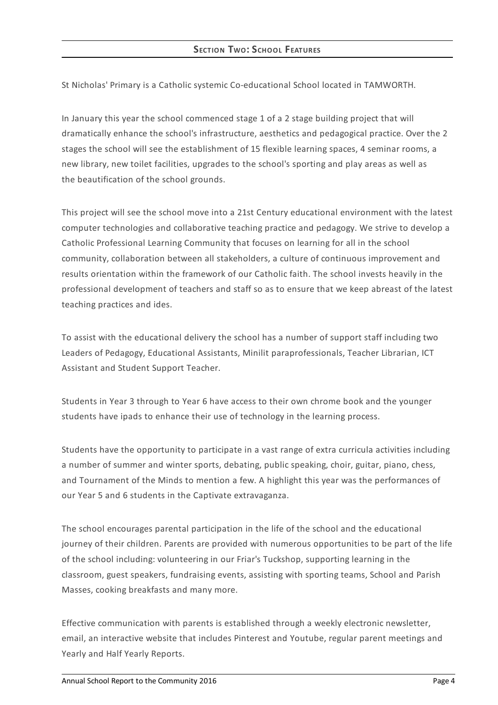St Nicholas' Primary is a Catholic systemic Co-educational School located in TAMWORTH.

In January this year the school commenced stage 1 of a 2 stage building project that will dramatically enhance the school's infrastructure, aesthetics and pedagogical practice. Over the 2 stages the school will see the establishment of 15 flexible learning spaces, 4 seminar rooms, a new library, new toilet facilities, upgrades to the school's sporting and play areas as well as the beautification of the school grounds.

This project will see the school move into a 21st Century educational environment with the latest computer technologies and collaborative teaching practice and pedagogy. We strive to develop a Catholic Professional Learning Community that focuses on learning for all in the school community, collaboration between all stakeholders, a culture of continuous improvement and results orientation within the framework of our Catholic faith. The school invests heavily in the professional development of teachers and staff so as to ensure that we keep abreast of the latest teaching practices and ides.

To assist with the educational delivery the school has a number of support staff including two Leaders of Pedagogy, Educational Assistants, Minilit paraprofessionals, Teacher Librarian, ICT Assistant and Student Support Teacher.

Students in Year 3 through to Year 6 have access to their own chrome book and the younger students have ipads to enhance their use of technology in the learning process.

Students have the opportunity to participate in a vast range of extra curricula activities including a number of summer and winter sports, debating, public speaking, choir, guitar, piano, chess, and Tournament of the Minds to mention a few. A highlight this year was the performances of our Year 5 and 6 students in the Captivate extravaganza.

The school encourages parental participation in the life of the school and the educational journey of their children. Parents are provided with numerous opportunities to be part of the life of the school including: volunteering in our Friar's Tuckshop, supporting learning in the classroom, guest speakers, fundraising events, assisting with sporting teams, School and Parish Masses, cooking breakfasts and many more.

Effective communication with parents is established through a weekly electronic newsletter, email, an interactive website that includes Pinterest and Youtube, regular parent meetings and Yearly and Half Yearly Reports.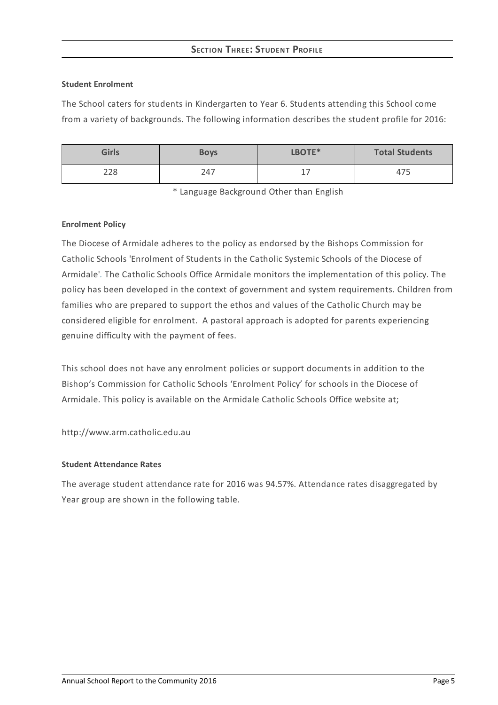# **SECTION THREE:STUDENT PROFILE**

## **Student Enrolment**

The School caters for students in Kindergarten to Year 6. Students attending this School come from a variety of backgrounds. The following information describes the student profile for 2016:

| <b>Girls</b> | <b>Boys</b> | LBOTE*     | <b>Total Students</b> |
|--------------|-------------|------------|-----------------------|
| 228          | 247         | $-1$<br>-- | $- -$<br>4/5          |

\* Language Background Other than English

## **Enrolment Policy**

The Diocese of Armidale adheres to the policy as endorsed by the Bishops Commission for Catholic Schools 'Enrolment of Students in the Catholic Systemic Schools of the Diocese of Armidale'*[.](http://www.ceosyd.catholic.edu.au/About/Pages/pol-pos-papers.aspx)* The Catholic Schools Office Armidale monitors the implementation of this policy. The policy has been developed in the context of government and system requirements. Children from families who are prepared to support the ethos and values of the Catholic Church may be considered eligible for enrolment. A pastoral approach is adopted for parents experiencing genuine difficulty with the payment of fees.

This school does not have any enrolment policies or support documents in addition to the Bishop's Commission for Catholic Schools 'Enrolment Policy' for schools in the Diocese of Armidale. This policy is available on the Armidale Catholic Schools Office website at;

http://www.arm.catholic.edu.au

## **Student Attendance Rates**

The average student attendance rate for 2016 was 94.57%. Attendance rates disaggregated by Year group are shown in the following table.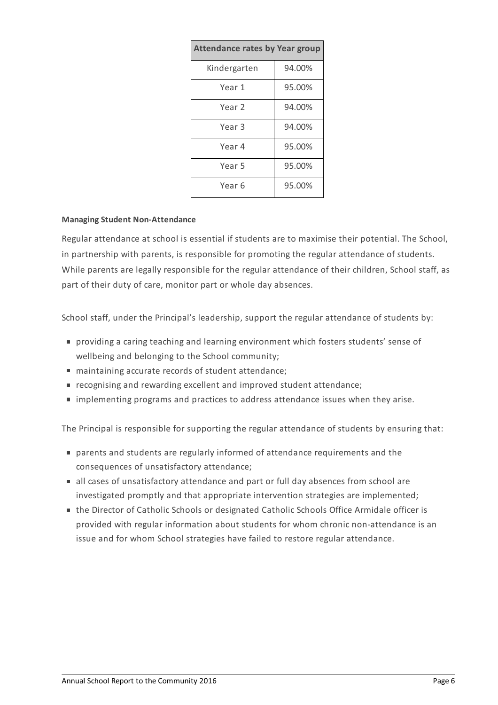| <b>Attendance rates by Year group</b> |        |  |  |
|---------------------------------------|--------|--|--|
| Kindergarten                          | 94.00% |  |  |
| Year 1                                | 95.00% |  |  |
| Year 2                                | 94.00% |  |  |
| Year <sub>3</sub>                     | 94.00% |  |  |
| Year 4                                | 95.00% |  |  |
| Year 5                                | 95.00% |  |  |
| Year 6                                | 95.00% |  |  |

## **Managing Student Non-Attendance**

Regular attendance at school is essential if students are to maximise their potential. The School, in partnership with parents, is responsible for promoting the regular attendance of students. While parents are legally responsible for the regular attendance of their children, School staff, as part of their duty of care, monitor part or whole day absences.

School staff, under the Principal's leadership, support the regular attendance of students by:

- providing a caring teaching and learning environment which fosters students' sense of wellbeing and belonging to the School community;
- maintaining accurate records of student attendance;
- recognising and rewarding excellent and improved student attendance;
- implementing programs and practices to address attendance issues when they arise.

The Principal is responsible for supporting the regular attendance of students by ensuring that:

- parents and students are regularly informed of attendance requirements and the consequences of unsatisfactory attendance;
- all cases of unsatisfactory attendance and part or full day absences from school are investigated promptly and that appropriate intervention strategies are implemented;
- the Director of Catholic Schools or designated Catholic Schools Office Armidale officer is provided with regular information about students for whom chronic non-attendance is an issue and for whom School strategies have failed to restore regular attendance.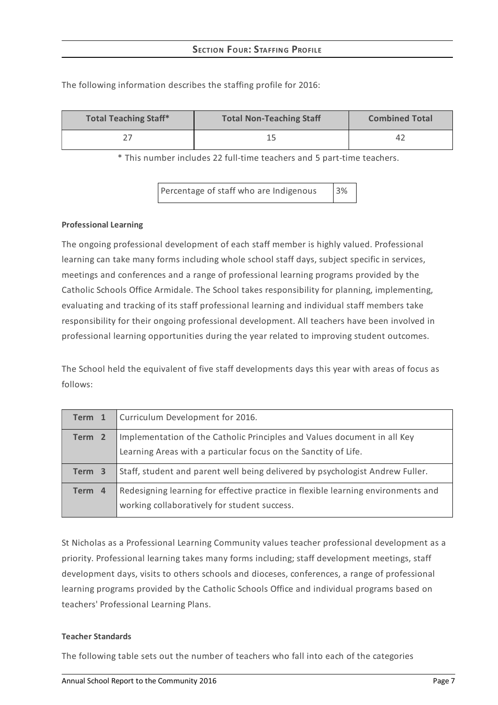| <b>Total Teaching Staff*</b> | <b>Total Non-Teaching Staff</b> | <b>Combined Total</b> |
|------------------------------|---------------------------------|-----------------------|
|                              |                                 | 4 <sub>4</sub>        |

The following information describes the staffing profile for 2016:

\* This number includes 22 full-time teachers and 5 part-time teachers.

Percentage of staff who are Indigenous 3%

## **Professional Learning**

The ongoing professional development of each staff member is highly valued. Professional learning can take many forms including whole school staff days, subject specific in services, meetings and conferences and a range of professional learning programs provided by the Catholic Schools Office Armidale. The School takes responsibility for planning, implementing, evaluating and tracking of its staff professional learning and individual staff members take responsibility for their ongoing professional development. All teachers have been involved in professional learning opportunities during the year related to improving student outcomes.

The School held the equivalent of five staff developments days this year with areas of focus as follows:

| Term 1            | Curriculum Development for 2016.                                                                                                            |
|-------------------|---------------------------------------------------------------------------------------------------------------------------------------------|
| Term <sub>2</sub> | Implementation of the Catholic Principles and Values document in all Key<br>Learning Areas with a particular focus on the Sanctity of Life. |
| Term 3            | Staff, student and parent well being delivered by psychologist Andrew Fuller.                                                               |
| Term 4            | Redesigning learning for effective practice in flexible learning environments and<br>working collaboratively for student success.           |

St Nicholas as a Professional Learning Community values teacher professional development as a priority. Professional learning takes many forms including; staff development meetings, staff development days, visits to others schools and dioceses, conferences, a range of professional learning programs provided by the Catholic Schools Office and individual programs based on teachers' Professional Learning Plans.

## **Teacher Standards**

The following table sets out the number of teachers who fall into each of the categories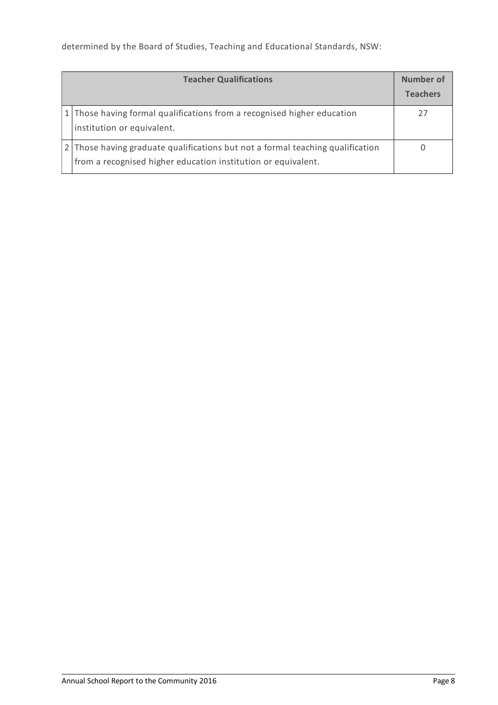determined by the Board of Studies, Teaching and Educational Standards, NSW:

| <b>Teacher Qualifications</b>                                                                                                                   | Number of<br><b>Teachers</b> |
|-------------------------------------------------------------------------------------------------------------------------------------------------|------------------------------|
| 1 Those having formal qualifications from a recognised higher education<br>institution or equivalent.                                           |                              |
| 2 Those having graduate qualifications but not a formal teaching qualification<br>from a recognised higher education institution or equivalent. |                              |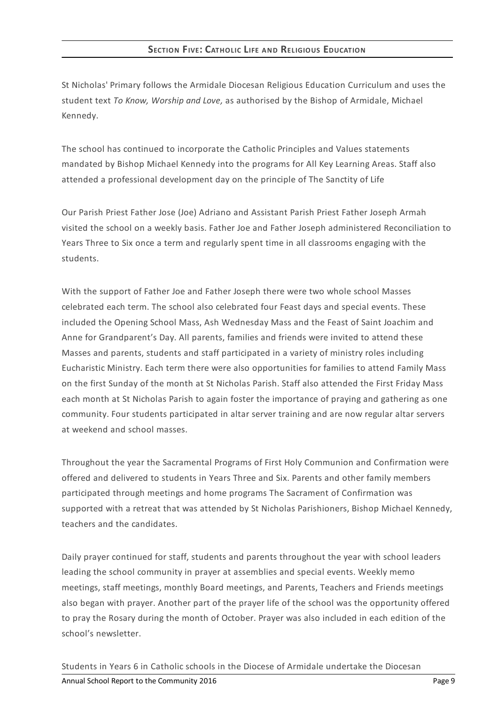St Nicholas' Primary follows the Armidale Diocesan Religious Education Curriculum and uses the student text *To Know, Worship and Love,* as authorised by the Bishop of Armidale, Michael Kennedy.

The school has continued to incorporate the Catholic Principles and Values statements mandated by Bishop Michael Kennedy into the programs for All Key Learning Areas. Staff also attended a professional development day on the principle of The Sanctity of Life

Our Parish Priest Father Jose (Joe) Adriano and Assistant Parish Priest Father Joseph Armah visited the school on a weekly basis. Father Joe and Father Joseph administered Reconciliation to Years Three to Six once a term and regularly spent time in all classrooms engaging with the students.

With the support of Father Joe and Father Joseph there were two whole school Masses celebrated each term. The school also celebrated four Feast days and special events. These included the Opening School Mass, Ash Wednesday Mass and the Feast of Saint Joachim and Anne for Grandparent's Day. All parents, families and friends were invited to attend these Masses and parents, students and staff participated in a variety of ministry roles including Eucharistic Ministry. Each term there were also opportunities for families to attend Family Mass on the first Sunday of the month at St Nicholas Parish. Staff also attended the First Friday Mass each month at St Nicholas Parish to again foster the importance of praying and gathering as one community. Four students participated in altar server training and are now regular altar servers at weekend and school masses.

Throughout the year the Sacramental Programs of First Holy Communion and Confirmation were offered and delivered to students in Years Three and Six. Parents and other family members participated through meetings and home programs The Sacrament of Confirmation was supported with a retreat that was attended by St Nicholas Parishioners, Bishop Michael Kennedy, teachers and the candidates.

Daily prayer continued for staff, students and parents throughout the year with school leaders leading the school community in prayer at assemblies and special events. Weekly memo meetings, staff meetings, monthly Board meetings, and Parents, Teachers and Friends meetings also began with prayer. Another part of the prayer life of the school was the opportunity offered to pray the Rosary during the month of October. Prayer was also included in each edition of the school's newsletter.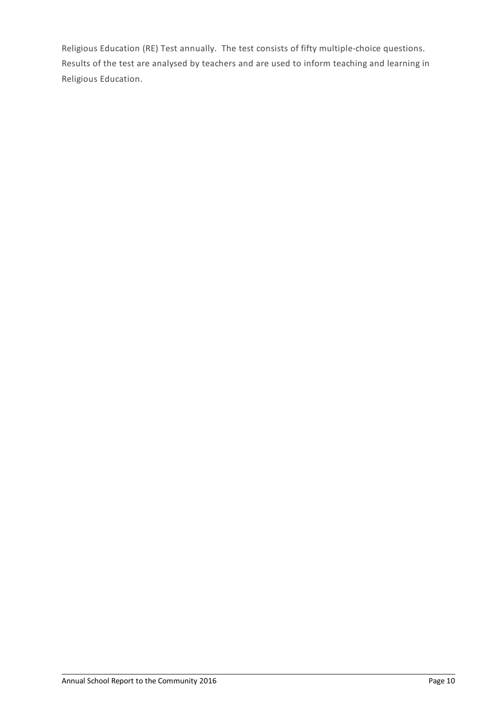Religious Education (RE) Test annually. The test consists of fifty multiple-choice questions. Results of the test are analysed by teachers and are used to inform teaching and learning in Religious Education.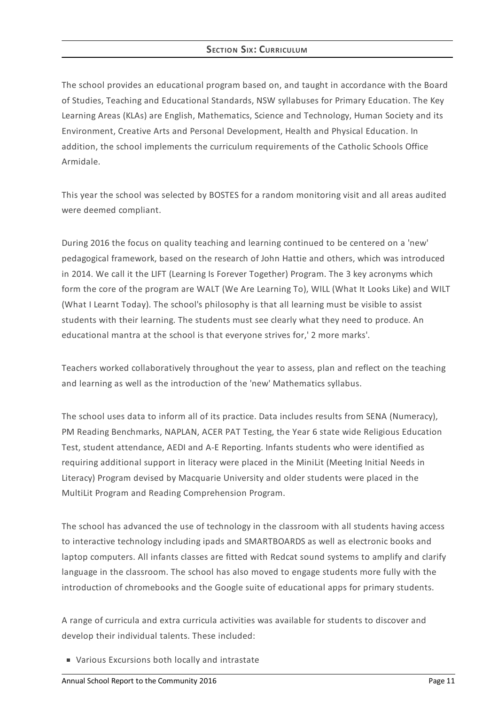# **SECTION SIX: CURRICULUM**

The school provides an educational program based on, and taught in accordance with the Board of Studies, Teaching and Educational Standards, NSW syllabuses for Primary Education. The Key Learning Areas (KLAs) are English, Mathematics, Science and Technology, Human Society and its Environment, Creative Arts and Personal Development, Health and Physical Education. In addition, the school implements the curriculum requirements of the Catholic Schools Office Armidale.

This year the school was selected by BOSTES for a random monitoring visit and all areas audited were deemed compliant.

During 2016 the focus on quality teaching and learning continued to be centered on a 'new' pedagogical framework, based on the research of John Hattie and others, which was introduced in 2014. We call it the LIFT (Learning Is Forever Together) Program. The 3 key acronyms which form the core of the program are WALT (We Are Learning To), WILL (What It Looks Like) and WILT (What I Learnt Today). The school's philosophy is that all learning must be visible to assist students with their learning. The students must see clearly what they need to produce. An educational mantra at the school is that everyone strives for,' 2 more marks'.

Teachers worked collaboratively throughout the year to assess, plan and reflect on the teaching and learning as well as the introduction of the 'new' Mathematics syllabus.

The school uses data to inform all of its practice. Data includes results from SENA (Numeracy), PM Reading Benchmarks, NAPLAN, ACER PAT Testing, the Year 6 state wide Religious Education Test, student attendance, AEDI and A-E Reporting. Infants students who were identified as requiring additional support in literacy were placed in the MiniLit (Meeting Initial Needs in Literacy) Program devised by Macquarie University and older students were placed in the MultiLit Program and Reading Comprehension Program.

The school has advanced the use of technology in the classroom with all students having access to interactive technology including ipads and SMARTBOARDS as well as electronic books and laptop computers. All infants classes are fitted with Redcat sound systems to amplify and clarify language in the classroom. The school has also moved to engage students more fully with the introduction of chromebooks and the Google suite of educational apps for primary students.

A range of curricula and extra curricula activities was available for students to discover and develop their individual talents. These included:

Various Excursions both locally and intrastate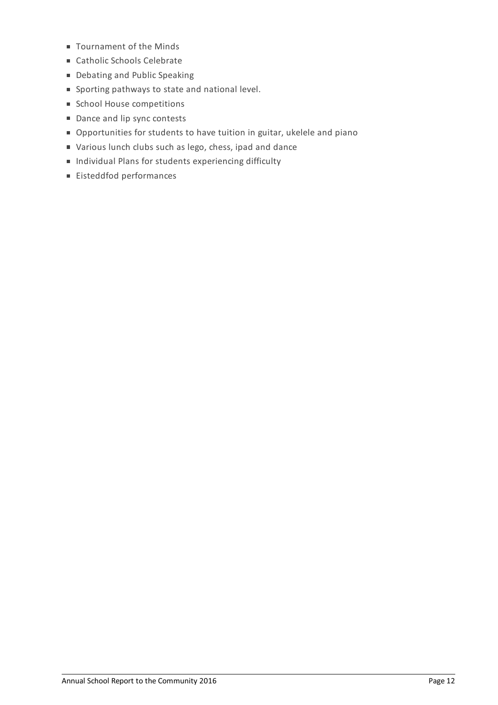- Tournament of the Minds
- Catholic Schools Celebrate
- Debating and Public Speaking
- Sporting pathways to state and national level.
- Ghool House competitions
- Dance and lip sync contests
- Opportunities for students to have tuition in guitar, ukelele and piano
- Various lunch clubs such as lego, chess, ipad and dance
- Individual Plans for students experiencing difficulty
- Eisteddfod performances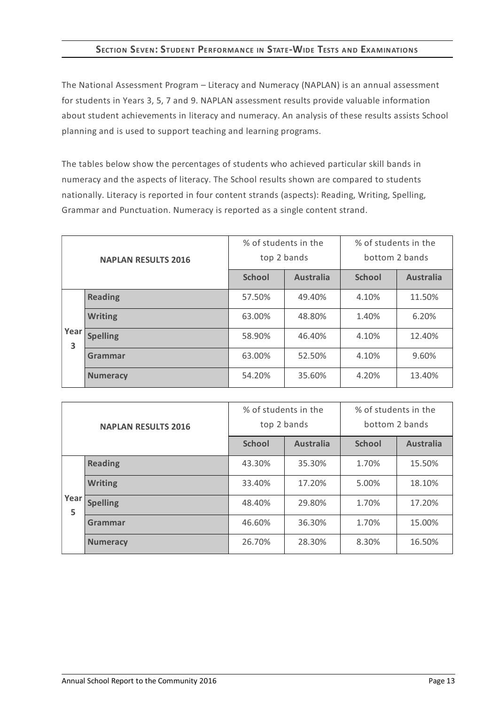# **SECTION SEVEN:STUDENT PERFORMANCE IN STATE-WIDE TESTS AND EXAMINATIONS**

The National Assessment Program – Literacy and Numeracy (NAPLAN) is an annual assessment for students in Years 3, 5, 7 and 9. NAPLAN assessment results provide valuable information about student achievements in literacy and numeracy. An analysis of these results assists School planning and is used to support teaching and learning programs.

The tables below show the percentages of students who achieved particular skill bands in numeracy and the aspects of literacy. The School results shown are compared to students nationally. Literacy is reported in four content strands (aspects): Reading, Writing, Spelling, Grammar and Punctuation. Numeracy is reported as a single content strand.

| <b>NAPLAN RESULTS 2016</b> |                 | % of students in the<br>top 2 bands |                  | % of students in the<br>bottom 2 bands |                  |
|----------------------------|-----------------|-------------------------------------|------------------|----------------------------------------|------------------|
|                            |                 | <b>School</b>                       | <b>Australia</b> | <b>School</b>                          | <b>Australia</b> |
|                            | <b>Reading</b>  | 57.50%                              | 49.40%           | 4.10%                                  | 11.50%           |
|                            | <b>Writing</b>  | 63.00%                              | 48.80%           | 1.40%                                  | 6.20%            |
| Year<br>3                  | <b>Spelling</b> | 58.90%                              | 46.40%           | 4.10%                                  | 12.40%           |
|                            | Grammar         | 63.00%                              | 52.50%           | 4.10%                                  | 9.60%            |
|                            | <b>Numeracy</b> | 54.20%                              | 35.60%           | 4.20%                                  | 13.40%           |

| <b>NAPLAN RESULTS 2016</b> |                 | % of students in the<br>top 2 bands |                  | % of students in the<br>bottom 2 bands |                  |
|----------------------------|-----------------|-------------------------------------|------------------|----------------------------------------|------------------|
|                            |                 | <b>School</b>                       | <b>Australia</b> | <b>School</b>                          | <b>Australia</b> |
|                            | <b>Reading</b>  | 43.30%                              | 35.30%           | 1.70%                                  | 15.50%           |
|                            | <b>Writing</b>  | 33.40%                              | 17.20%           | 5.00%                                  | 18.10%           |
| Year<br>5                  | <b>Spelling</b> | 48.40%                              | 29.80%           | 1.70%                                  | 17.20%           |
|                            | Grammar         | 46.60%                              | 36.30%           | 1.70%                                  | 15.00%           |
|                            | <b>Numeracy</b> | 26.70%                              | 28.30%           | 8.30%                                  | 16.50%           |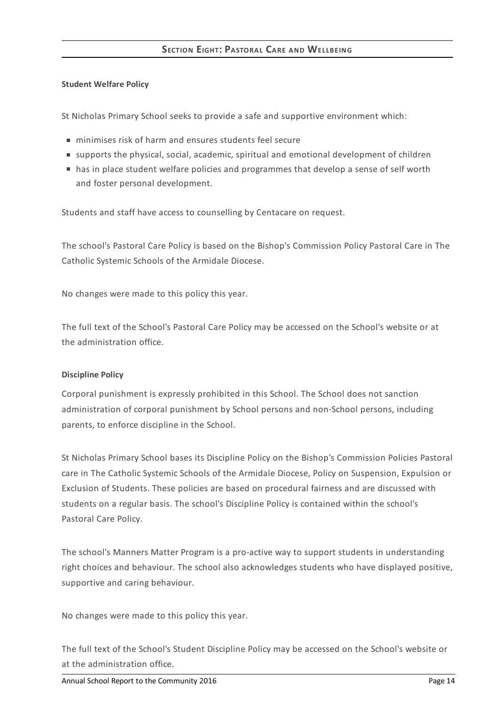## **Student Welfare Policy**

St Nicholas Primary School seeks to provide a safe and supportive environment which:

- minimises risk of harm and ensures students feel secure
- supports the physical, social, academic, spiritual and emotional development of children
- has in place student welfare policies and programmes that develop a sense of self worth and foster personal development.

Students and staff have access to counselling by Centacare on request.

The school's Pastoral Care Policy is based on the Bishop's Commission Policy Pastoral Care in The Catholic Systemic Schools of the Armidale Diocese.

No changes were made to this policy this year.

The full text of the School's Pastoral Care Policy may be accessed on the School's website or at the administration office.

## **Discipline Policy**

Corporal punishment is expressly prohibited in this School. The School does not sanction administration of corporal punishment by School persons and non-School persons, including parents, to enforce discipline in the School.

St Nicholas Primary School bases its Discipline Policy on the Bishop's Commission Policies Pastoral care in The Catholic Systemic Schools of the Armidale Diocese, Policy on Suspension, Expulsion or Exclusion of Students. These policies are based on procedural fairness and are discussed with students on a regular basis. The school's Discipline Policy is contained within the school's Pastoral Care Policy.

The school's Manners Matter Program is a pro-active way to support students in understanding right choices and behaviour. The school also acknowledges students who have displayed positive, supportive and caring behaviour.

No changes were made to this policy this year.

The full text of the School's Student Discipline Policy may be accessed on the School's website or at the administration office.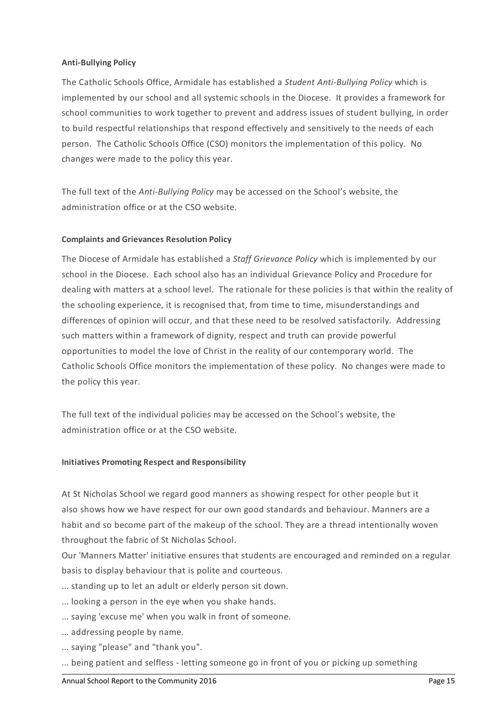## **Anti-Bullying Policy**

The Catholic Schools Office, Armidale has established a *Student Anti-Bullying Policy* which is implemented by our school and all systemic schools in the Diocese. It provides a framework for school communities to work together to prevent and address issues of student bullying, in order to build respectful relationships that respond effectively and sensitively to the needs of each person. The Catholic Schools Office (CSO) monitors the implementation of this policy. No changes were made to the policy this year.

The full text of the *Anti-Bullying Policy* may be accessed on the School's website, the administration office or at the CSO website.

## **Complaints and Grievances Resolution Policy**

The Diocese of Armidale has established a *Staff Grievance Policy* which is implemented by our school in the Diocese. Each school also has an individual Grievance Policy and Procedure for dealing with matters at a school level. The rationale for these policies is that within the reality of the schooling experience, it is recognised that, from time to time, misunderstandings and differences of opinion will occur, and that these need to be resolved satisfactorily. Addressing such matters within a framework of dignity, respect and truth can provide powerful opportunities to model the love of Christ in the reality of our contemporary world. The Catholic Schools Office monitors the implementation of these policy. No changes were made to the policy this year.

The full text of the individual policies may be accessed on the School's website, the administration office or at the CSO website.

#### **Initiatives Promoting Respect and Responsibility**

At St Nicholas School we regard good manners as showing respect for other people but it also shows how we have respect for our own good standards and behaviour. Manners are a habit and so become part of the makeup of the school. They are a thread intentionally woven throughout the fabric of St Nicholas School.

Our 'Manners Matter' initiative ensures that students are encouraged and reminded on a regular basis to display behaviour that is polite and courteous.

- ... standing up to let an adult or elderly person sit down.
- ... looking a person in the eye when you shake hands.
- ... saying 'excuse me' when you walk in front of someone.
- ... addressing people by name.
- ... saying "please" and "thank you".
- ... being patient and selfless letting someone go in front of you or picking up something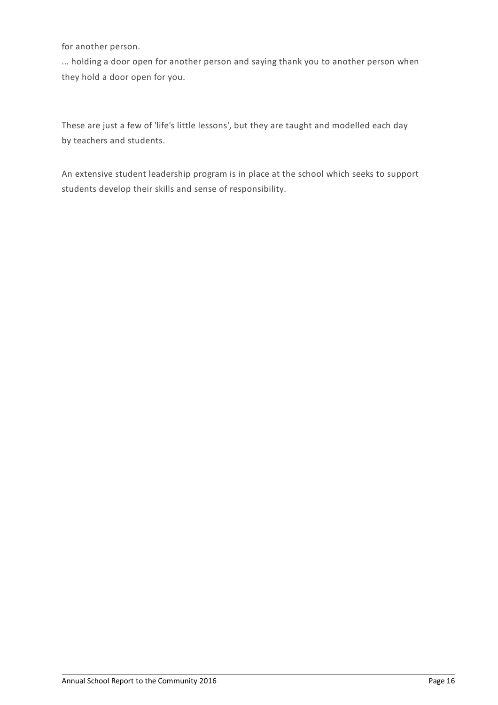for another person.

... holding a door open for another person and saying thank you to another person when they hold a door open for you.

These are just a few of 'life's little lessons', but they are taught and modelled each day by teachers and students.

An extensive student leadership program is in place at the school which seeks to support students develop their skills and sense of responsibility.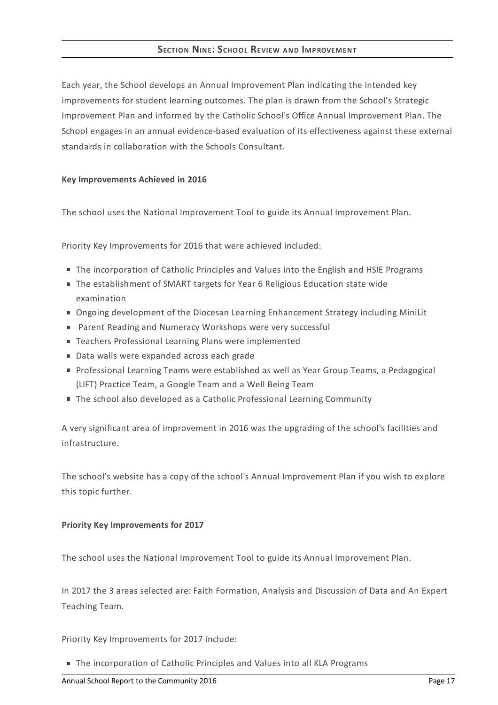# **SECTION NINE:SCHOOL REVIEW AND IMPROVEMENT**

Each year, the School develops an Annual Improvement Plan indicating the intended key improvements for student learning outcomes. The plan is drawn from the School's Strategic Improvement Plan and informed by the Catholic School's Office Annual Improvement Plan. The School engages in an annual evidence-based evaluation of its effectiveness against these external standards in collaboration with the Schools Consultant.

## **Key Improvements Achieved in 2016**

The school uses the National Improvement Tool to guide its Annual Improvement Plan.

Priority Key Improvements for 2016 that were achieved included:

- The incorporation of Catholic Principles and Values into the English and HSIE Programs
- The establishment of SMART targets for Year 6 Religious Education state wide examination
- Ongoing development of the Diocesan Learning Enhancement Strategy including MiniLit
- Parent Reading and Numeracy Workshops were very successful
- Teachers Professional Learning Plans were implemented
- Data walls were expanded across each grade
- Professional Learning Teams were established as well as Year Group Teams, a Pedagogical (LIFT) Practice Team, a Google Team and a Well Being Team
- The school also developed as a Catholic Professional Learning Community

A very significant area of improvement in 2016 was the upgrading of the school's facilities and infrastructure.

The school's website has a copy of the school's Annual Improvement Plan if you wish to explore this topic further.

## **Priority Key Improvements for 2017**

The school uses the National Improvement Tool to guide its Annual Improvement Plan.

In 2017 the 3 areas selected are: Faith Formation, Analysis and Discussion of Data and An Expert Teaching Team.

Priority Key Improvements for 2017 include:

■ The incorporation of Catholic Principles and Values into all KLA Programs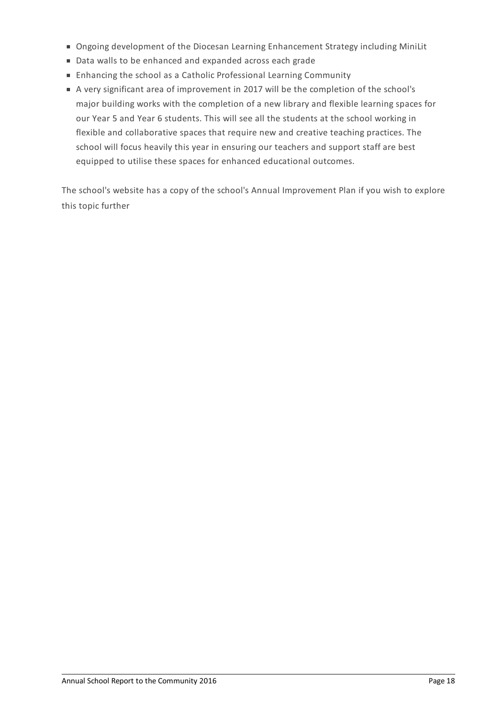- Ongoing development of the Diocesan Learning Enhancement Strategy including MiniLit
- Data walls to be enhanced and expanded across each grade
- Enhancing the school as a Catholic Professional Learning Community
- A very significant area of improvement in 2017 will be the completion of the school's major building works with the completion of a new library and flexible learning spaces for our Year 5 and Year 6 students. This will see all the students at the school working in flexible and collaborative spaces that require new and creative teaching practices. The school will focus heavily this year in ensuring our teachers and support staff are best equipped to utilise these spaces for enhanced educational outcomes.

The school's website has a copy of the school's Annual Improvement Plan if you wish to explore this topic further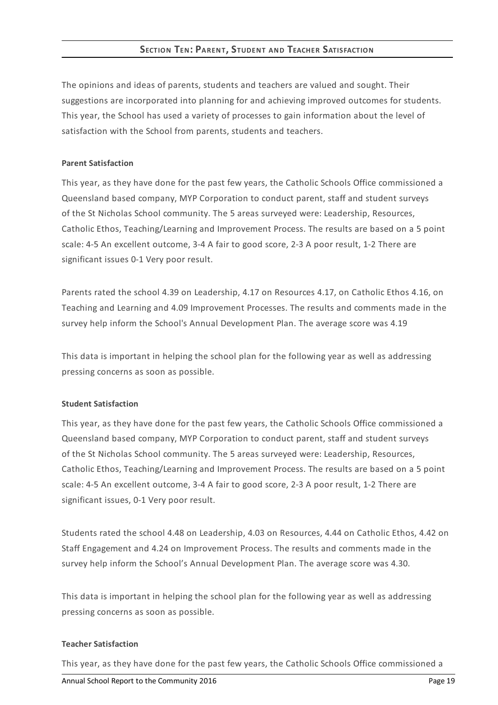# **SECTION TEN: PARENT, STUDENT AND TEACHER SATISFACTION**

The opinions and ideas of parents, students and teachers are valued and sought. Their suggestions are incorporated into planning for and achieving improved outcomes for students. This year, the School has used a variety of processes to gain information about the level of satisfaction with the School from parents, students and teachers.

## **Parent Satisfaction**

This year, as they have done for the past few years, the Catholic Schools Office commissioned a Queensland based company, MYP Corporation to conduct parent, staff and student surveys of the St Nicholas School community. The 5 areas surveyed were: Leadership, Resources, Catholic Ethos, Teaching/Learning and Improvement Process. The results are based on a 5 point scale: 4-5 An excellent outcome, 3-4 A fair to good score, 2-3 A poor result, 1-2 There are significant issues 0-1 Very poor result.

Parents rated the school 4.39 on Leadership, 4.17 on Resources 4.17, on Catholic Ethos 4.16, on Teaching and Learning and 4.09 Improvement Processes. The results and comments made in the survey help inform the School's Annual Development Plan. The average score was 4.19

This data is important in helping the school plan for the following year as well as addressing pressing concerns as soon as possible.

## **Student Satisfaction**

This year, as they have done for the past few years, the Catholic Schools Office commissioned a Queensland based company, MYP Corporation to conduct parent, staff and student surveys of the St Nicholas School community. The 5 areas surveyed were: Leadership, Resources, Catholic Ethos, Teaching/Learning and Improvement Process. The results are based on a 5 point scale: 4-5 An excellent outcome, 3-4 A fair to good score, 2-3 A poor result, 1-2 There are significant issues, 0-1 Very poor result.

Students rated the school 4.48 on Leadership, 4.03 on Resources, 4.44 on Catholic Ethos, 4.42 on Staff Engagement and 4.24 on Improvement Process. The results and comments made in the survey help inform the School's Annual Development Plan. The average score was 4.30.

This data is important in helping the school plan for the following year as well as addressing pressing concerns as soon as possible.

#### **Teacher Satisfaction**

This year, as they have done for the past few years, the Catholic Schools Office commissioned a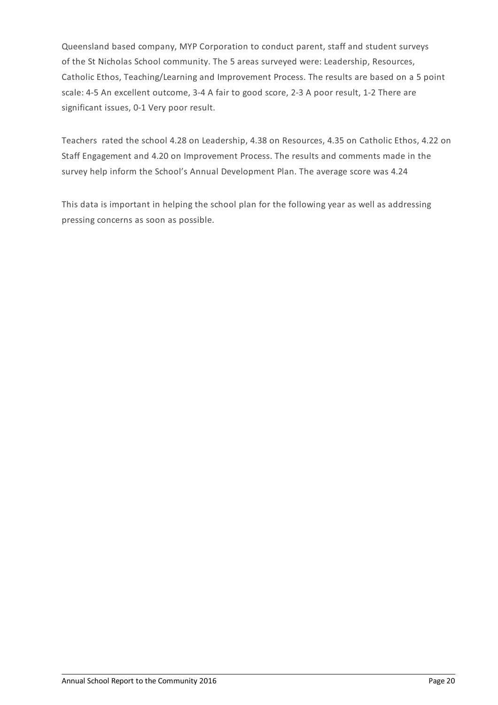Queensland based company, MYP Corporation to conduct parent, staff and student surveys of the St Nicholas School community. The 5 areas surveyed were: Leadership, Resources, Catholic Ethos, Teaching/Learning and Improvement Process. The results are based on a 5 point scale: 4-5 An excellent outcome, 3-4 A fair to good score, 2-3 A poor result, 1-2 There are significant issues, 0-1 Very poor result.

Teachers rated the school 4.28 on Leadership, 4.38 on Resources, 4.35 on Catholic Ethos, 4.22 on Staff Engagement and 4.20 on Improvement Process. The results and comments made in the survey help inform the School's Annual Development Plan. The average score was 4.24

This data is important in helping the school plan for the following year as well as addressing pressing concerns as soon as possible.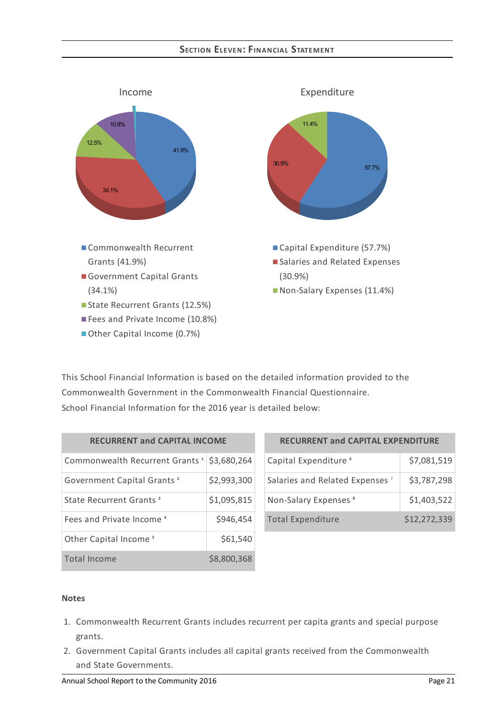# **SECTION ELEVEN:FINANCIAL STATEMENT**



This School Financial Information is based on the detailed information provided to the Commonwealth Government in the Commonwealth Financial Questionnaire. School Financial Information for the 2016 year is detailed below:

| <b>RECURRENT and CAPITAL INCOME</b>        |             |  |  |
|--------------------------------------------|-------------|--|--|
| Commonwealth Recurrent Grants <sup>1</sup> | \$3,680,264 |  |  |
| Government Capital Grants <sup>2</sup>     | \$2,993,300 |  |  |
| State Recurrent Grants <sup>3</sup>        | \$1,095,815 |  |  |
| Fees and Private Income <sup>4</sup>       | \$946,454   |  |  |
| Other Capital Income <sup>5</sup>          | \$61,540    |  |  |
| <b>Total Income</b>                        | \$8,800,368 |  |  |

| <b>RECURRENT and CAPITAL EXPENDITURE</b>   |              |  |  |
|--------------------------------------------|--------------|--|--|
| Capital Expenditure <sup>6</sup>           | \$7,081,519  |  |  |
| Salaries and Related Expenses <sup>7</sup> | \$3,787,298  |  |  |
| Non-Salary Expenses <sup>8</sup>           | \$1,403,522  |  |  |
| <b>Total Expenditure</b>                   | \$12,272,339 |  |  |

#### **Notes**

- 1. Commonwealth Recurrent Grants includes recurrent per capita grants and special purpose grants.
- 2. Government Capital Grants includes all capital grants received from the Commonwealth and State Governments.